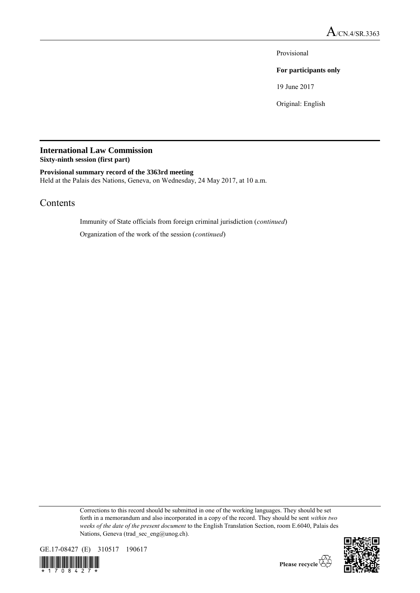Provisional

## **For participants only**

19 June 2017

Original: English

# **International Law Commission**

**Sixty-ninth session (first part)**

**Provisional summary record of the 3363rd meeting** Held at the Palais des Nations, Geneva, on Wednesday, 24 May 2017, at 10 a.m.

## Contents

Immunity of State officials from foreign criminal jurisdiction (*continued*)

Organization of the work of the session (*continued*)

Corrections to this record should be submitted in one of the working languages. They should be set forth in a memorandum and also incorporated in a copy of the record. They should be sent *within two weeks of the date of the present document* to the English Translation Section, room E.6040, Palais des Nations, Geneva (trad\_sec\_eng@unog.ch).







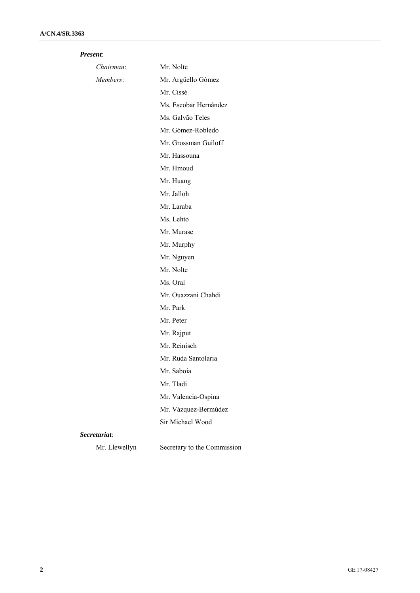### *Present*:

| Chairman:     | Mr. Nolte                   |
|---------------|-----------------------------|
| Members:      | Mr. Argüello Gómez          |
|               | Mr. Cissé                   |
|               | Ms. Escobar Hernández       |
|               | Ms. Galvão Teles            |
|               | Mr. Gómez-Robledo           |
|               | Mr. Grossman Guiloff        |
|               | Mr. Hassouna                |
|               | Mr. Hmoud                   |
|               | Mr. Huang                   |
|               | Mr. Jalloh                  |
|               | Mr. Laraba                  |
|               | Ms. Lehto                   |
|               | Mr. Murase                  |
|               | Mr. Murphy                  |
|               | Mr. Nguyen                  |
|               | Mr. Nolte                   |
|               | Ms. Oral                    |
|               | Mr. Ouazzani Chahdi         |
|               | Mr. Park                    |
|               | Mr. Peter                   |
|               | Mr. Rajput                  |
|               | Mr. Reinisch                |
|               | Mr. Ruda Santolaria         |
|               | Mr. Saboia                  |
|               | Mr. Tladi                   |
|               | Mr. Valencia-Ospina         |
|               | Mr. Vázquez-Bermúdez        |
|               | Sir Michael Wood            |
| Secretariat:  |                             |
| Mr. Llewellyn | Secretary to the Commission |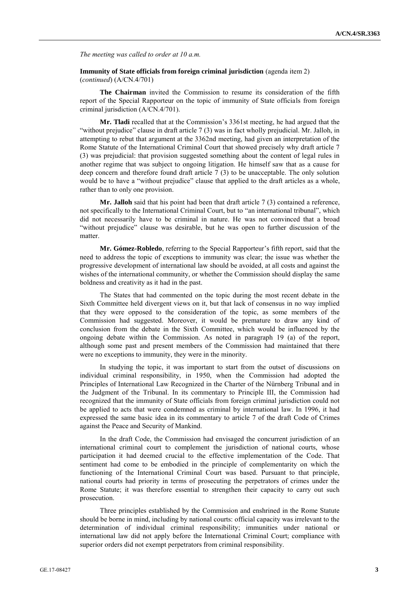*The meeting was called to order at 10 a.m.*

**Immunity of State officials from foreign criminal jurisdiction** (agenda item 2) (*continued*) (A/CN.4/701)

**The Chairman** invited the Commission to resume its consideration of the fifth report of the Special Rapporteur on the topic of immunity of State officials from foreign criminal jurisdiction (A/CN.4/701).

**Mr. Tladi** recalled that at the Commission's 3361st meeting, he had argued that the "without prejudice" clause in draft article 7 (3) was in fact wholly prejudicial. Mr. Jalloh, in attempting to rebut that argument at the 3362nd meeting, had given an interpretation of the Rome Statute of the International Criminal Court that showed precisely why draft article 7 (3) was prejudicial: that provision suggested something about the content of legal rules in another regime that was subject to ongoing litigation. He himself saw that as a cause for deep concern and therefore found draft article 7 (3) to be unacceptable. The only solution would be to have a "without prejudice" clause that applied to the draft articles as a whole, rather than to only one provision.

**Mr. Jalloh** said that his point had been that draft article 7 (3) contained a reference, not specifically to the International Criminal Court, but to "an international tribunal", which did not necessarily have to be criminal in nature. He was not convinced that a broad "without prejudice" clause was desirable, but he was open to further discussion of the matter.

**Mr. Gómez-Robledo**, referring to the Special Rapporteur's fifth report, said that the need to address the topic of exceptions to immunity was clear; the issue was whether the progressive development of international law should be avoided, at all costs and against the wishes of the international community, or whether the Commission should display the same boldness and creativity as it had in the past.

The States that had commented on the topic during the most recent debate in the Sixth Committee held divergent views on it, but that lack of consensus in no way implied that they were opposed to the consideration of the topic, as some members of the Commission had suggested. Moreover, it would be premature to draw any kind of conclusion from the debate in the Sixth Committee, which would be influenced by the ongoing debate within the Commission. As noted in paragraph 19 (a) of the report, although some past and present members of the Commission had maintained that there were no exceptions to immunity, they were in the minority.

In studying the topic, it was important to start from the outset of discussions on individual criminal responsibility, in 1950, when the Commission had adopted the Principles of International Law Recognized in the Charter of the Nürnberg Tribunal and in the Judgment of the Tribunal. In its commentary to Principle III, the Commission had recognized that the immunity of State officials from foreign criminal jurisdiction could not be applied to acts that were condemned as criminal by international law. In 1996, it had expressed the same basic idea in its commentary to article 7 of the draft Code of Crimes against the Peace and Security of Mankind.

In the draft Code, the Commission had envisaged the concurrent jurisdiction of an international criminal court to complement the jurisdiction of national courts, whose participation it had deemed crucial to the effective implementation of the Code. That sentiment had come to be embodied in the principle of complementarity on which the functioning of the International Criminal Court was based. Pursuant to that principle, national courts had priority in terms of prosecuting the perpetrators of crimes under the Rome Statute; it was therefore essential to strengthen their capacity to carry out such prosecution.

Three principles established by the Commission and enshrined in the Rome Statute should be borne in mind, including by national courts: official capacity was irrelevant to the determination of individual criminal responsibility; immunities under national or international law did not apply before the International Criminal Court; compliance with superior orders did not exempt perpetrators from criminal responsibility.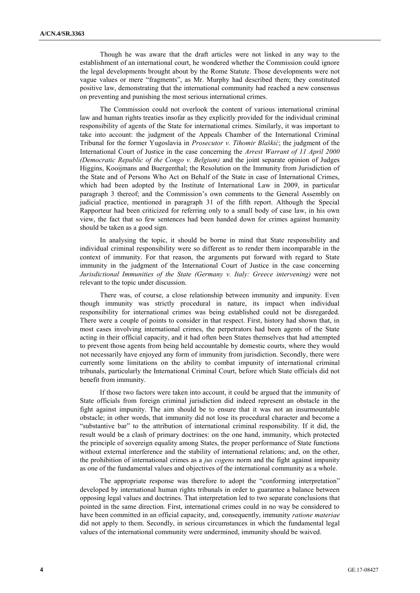Though he was aware that the draft articles were not linked in any way to the establishment of an international court, he wondered whether the Commission could ignore the legal developments brought about by the Rome Statute. Those developments were not vague values or mere "fragments", as Mr. Murphy had described them; they constituted positive law, demonstrating that the international community had reached a new consensus on preventing and punishing the most serious international crimes.

The Commission could not overlook the content of various international criminal law and human rights treaties insofar as they explicitly provided for the individual criminal responsibility of agents of the State for international crimes. Similarly, it was important to take into account: the judgment of the Appeals Chamber of the International Criminal Tribunal for the former Yugoslavia in *Prosecutor v. Tihomir Blaškić*; the judgment of the International Court of Justice in the case concerning the *Arrest Warrant of 11 April 2000 (Democratic Republic of the Congo v. Belgium)* and the joint separate opinion of Judges Higgins, Kooijmans and Buergenthal; the Resolution on the Immunity from Jurisdiction of the State and of Persons Who Act on Behalf of the State in case of International Crimes, which had been adopted by the Institute of International Law in 2009, in particular paragraph 3 thereof; and the Commission's own comments to the General Assembly on judicial practice, mentioned in paragraph 31 of the fifth report. Although the Special Rapporteur had been criticized for referring only to a small body of case law, in his own view, the fact that so few sentences had been handed down for crimes against humanity should be taken as a good sign.

In analysing the topic, it should be borne in mind that State responsibility and individual criminal responsibility were so different as to render them incomparable in the context of immunity. For that reason, the arguments put forward with regard to State immunity in the judgment of the International Court of Justice in the case concerning *Jurisdictional Immunities of the State (Germany v. Italy: Greece intervening)* were not relevant to the topic under discussion.

There was, of course, a close relationship between immunity and impunity. Even though immunity was strictly procedural in nature, its impact when individual responsibility for international crimes was being established could not be disregarded. There were a couple of points to consider in that respect. First, history had shown that, in most cases involving international crimes, the perpetrators had been agents of the State acting in their official capacity, and it had often been States themselves that had attempted to prevent those agents from being held accountable by domestic courts, where they would not necessarily have enjoyed any form of immunity from jurisdiction. Secondly, there were currently some limitations on the ability to combat impunity of international criminal tribunals, particularly the International Criminal Court, before which State officials did not benefit from immunity.

If those two factors were taken into account, it could be argued that the immunity of State officials from foreign criminal jurisdiction did indeed represent an obstacle in the fight against impunity. The aim should be to ensure that it was not an insurmountable obstacle; in other words, that immunity did not lose its procedural character and become a "substantive bar" to the attribution of international criminal responsibility. If it did, the result would be a clash of primary doctrines: on the one hand, immunity, which protected the principle of sovereign equality among States, the proper performance of State functions without external interference and the stability of international relations; and, on the other, the prohibition of international crimes as a *jus cogens* norm and the fight against impunity as one of the fundamental values and objectives of the international community as a whole.

The appropriate response was therefore to adopt the "conforming interpretation" developed by international human rights tribunals in order to guarantee a balance between opposing legal values and doctrines. That interpretation led to two separate conclusions that pointed in the same direction. First, international crimes could in no way be considered to have been committed in an official capacity, and, consequently, immunity *ratione materiae*  did not apply to them. Secondly, in serious circumstances in which the fundamental legal values of the international community were undermined, immunity should be waived.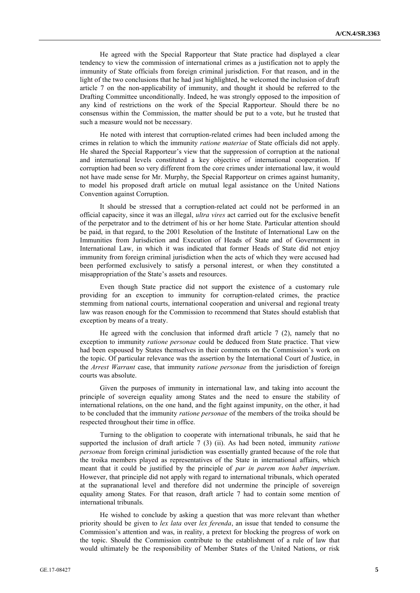He agreed with the Special Rapporteur that State practice had displayed a clear tendency to view the commission of international crimes as a justification not to apply the immunity of State officials from foreign criminal jurisdiction. For that reason, and in the light of the two conclusions that he had just highlighted, he welcomed the inclusion of draft article 7 on the non-applicability of immunity, and thought it should be referred to the Drafting Committee unconditionally. Indeed, he was strongly opposed to the imposition of any kind of restrictions on the work of the Special Rapporteur. Should there be no consensus within the Commission, the matter should be put to a vote, but he trusted that such a measure would not be necessary.

He noted with interest that corruption-related crimes had been included among the crimes in relation to which the immunity *ratione materiae* of State officials did not apply. He shared the Special Rapporteur's view that the suppression of corruption at the national and international levels constituted a key objective of international cooperation. If corruption had been so very different from the core crimes under international law, it would not have made sense for Mr. Murphy, the Special Rapporteur on crimes against humanity, to model his proposed draft article on mutual legal assistance on the United Nations Convention against Corruption.

It should be stressed that a corruption-related act could not be performed in an official capacity, since it was an illegal, *ultra vires* act carried out for the exclusive benefit of the perpetrator and to the detriment of his or her home State. Particular attention should be paid, in that regard, to the 2001 Resolution of the Institute of International Law on the Immunities from Jurisdiction and Execution of Heads of State and of Government in International Law, in which it was indicated that former Heads of State did not enjoy immunity from foreign criminal jurisdiction when the acts of which they were accused had been performed exclusively to satisfy a personal interest, or when they constituted a misappropriation of the State's assets and resources.

Even though State practice did not support the existence of a customary rule providing for an exception to immunity for corruption-related crimes, the practice stemming from national courts, international cooperation and universal and regional treaty law was reason enough for the Commission to recommend that States should establish that exception by means of a treaty.

He agreed with the conclusion that informed draft article 7 (2), namely that no exception to immunity *ratione personae* could be deduced from State practice. That view had been espoused by States themselves in their comments on the Commission's work on the topic. Of particular relevance was the assertion by the International Court of Justice, in the *Arrest Warrant* case, that immunity *ratione personae* from the jurisdiction of foreign courts was absolute.

Given the purposes of immunity in international law, and taking into account the principle of sovereign equality among States and the need to ensure the stability of international relations, on the one hand, and the fight against impunity, on the other, it had to be concluded that the immunity *ratione personae* of the members of the troika should be respected throughout their time in office.

Turning to the obligation to cooperate with international tribunals, he said that he supported the inclusion of draft article 7 (3) (ii). As had been noted, immunity *ratione personae* from foreign criminal jurisdiction was essentially granted because of the role that the troika members played as representatives of the State in international affairs, which meant that it could be justified by the principle of *par in parem non habet imperium*. However, that principle did not apply with regard to international tribunals, which operated at the supranational level and therefore did not undermine the principle of sovereign equality among States. For that reason, draft article 7 had to contain some mention of international tribunals.

He wished to conclude by asking a question that was more relevant than whether priority should be given to *lex lata* over *lex ferenda*, an issue that tended to consume the Commission's attention and was, in reality, a pretext for blocking the progress of work on the topic. Should the Commission contribute to the establishment of a rule of law that would ultimately be the responsibility of Member States of the United Nations, or risk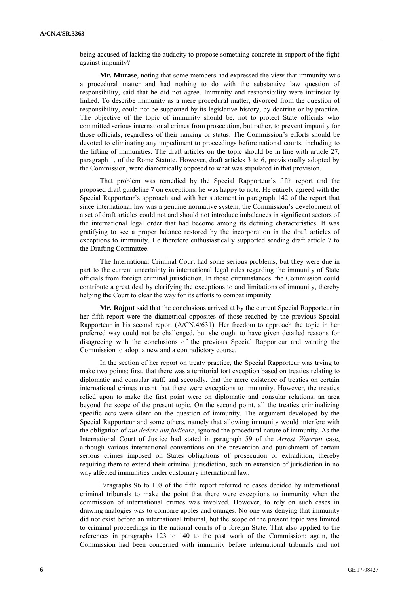being accused of lacking the audacity to propose something concrete in support of the fight against impunity?

**Mr. Murase**, noting that some members had expressed the view that immunity was a procedural matter and had nothing to do with the substantive law question of responsibility, said that he did not agree. Immunity and responsibility were intrinsically linked. To describe immunity as a mere procedural matter, divorced from the question of responsibility, could not be supported by its legislative history, by doctrine or by practice. The objective of the topic of immunity should be, not to protect State officials who committed serious international crimes from prosecution, but rather, to prevent impunity for those officials, regardless of their ranking or status. The Commission's efforts should be devoted to eliminating any impediment to proceedings before national courts, including to the lifting of immunities. The draft articles on the topic should be in line with article 27, paragraph 1, of the Rome Statute. However, draft articles 3 to 6, provisionally adopted by the Commission, were diametrically opposed to what was stipulated in that provision.

That problem was remedied by the Special Rapporteur's fifth report and the proposed draft guideline 7 on exceptions, he was happy to note. He entirely agreed with the Special Rapporteur's approach and with her statement in paragraph 142 of the report that since international law was a genuine normative system, the Commission's development of a set of draft articles could not and should not introduce imbalances in significant sectors of the international legal order that had become among its defining characteristics. It was gratifying to see a proper balance restored by the incorporation in the draft articles of exceptions to immunity. He therefore enthusiastically supported sending draft article 7 to the Drafting Committee.

The International Criminal Court had some serious problems, but they were due in part to the current uncertainty in international legal rules regarding the immunity of State officials from foreign criminal jurisdiction. In those circumstances, the Commission could contribute a great deal by clarifying the exceptions to and limitations of immunity, thereby helping the Court to clear the way for its efforts to combat impunity.

**Mr. Rajput** said that the conclusions arrived at by the current Special Rapporteur in her fifth report were the diametrical opposites of those reached by the previous Special Rapporteur in his second report (A/CN.4/631). Her freedom to approach the topic in her preferred way could not be challenged, but she ought to have given detailed reasons for disagreeing with the conclusions of the previous Special Rapporteur and wanting the Commission to adopt a new and a contradictory course.

In the section of her report on treaty practice, the Special Rapporteur was trying to make two points: first, that there was a territorial tort exception based on treaties relating to diplomatic and consular staff, and secondly, that the mere existence of treaties on certain international crimes meant that there were exceptions to immunity. However, the treaties relied upon to make the first point were on diplomatic and consular relations, an area beyond the scope of the present topic. On the second point, all the treaties criminalizing specific acts were silent on the question of immunity. The argument developed by the Special Rapporteur and some others, namely that allowing immunity would interfere with the obligation of *aut dedere aut judicare*, ignored the procedural nature of immunity. As the International Court of Justice had stated in paragraph 59 of the *Arrest Warrant* case, although various international conventions on the prevention and punishment of certain serious crimes imposed on States obligations of prosecution or extradition, thereby requiring them to extend their criminal jurisdiction, such an extension of jurisdiction in no way affected immunities under customary international law.

Paragraphs 96 to 108 of the fifth report referred to cases decided by international criminal tribunals to make the point that there were exceptions to immunity when the commission of international crimes was involved. However, to rely on such cases in drawing analogies was to compare apples and oranges. No one was denying that immunity did not exist before an international tribunal, but the scope of the present topic was limited to criminal proceedings in the national courts of a foreign State. That also applied to the references in paragraphs 123 to 140 to the past work of the Commission: again, the Commission had been concerned with immunity before international tribunals and not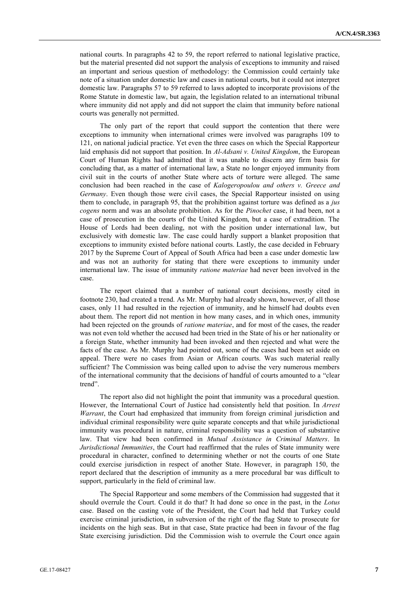national courts. In paragraphs 42 to 59, the report referred to national legislative practice, but the material presented did not support the analysis of exceptions to immunity and raised an important and serious question of methodology: the Commission could certainly take note of a situation under domestic law and cases in national courts, but it could not interpret domestic law. Paragraphs 57 to 59 referred to laws adopted to incorporate provisions of the Rome Statute in domestic law, but again, the legislation related to an international tribunal where immunity did not apply and did not support the claim that immunity before national courts was generally not permitted.

The only part of the report that could support the contention that there were exceptions to immunity when international crimes were involved was paragraphs 109 to 121, on national judicial practice. Yet even the three cases on which the Special Rapporteur laid emphasis did not support that position. In *Al-Adsani v. United Kingdom*, the European Court of Human Rights had admitted that it was unable to discern any firm basis for concluding that, as a matter of international law, a State no longer enjoyed immunity from civil suit in the courts of another State where acts of torture were alleged. The same conclusion had been reached in the case of *Kalogeropoulou and others v. Greece and Germany*. Even though those were civil cases, the Special Rapporteur insisted on using them to conclude, in paragraph 95, that the prohibition against torture was defined as a *jus cogens* norm and was an absolute prohibition. As for the *Pinochet* case, it had been, not a case of prosecution in the courts of the United Kingdom, but a case of extradition. The House of Lords had been dealing, not with the position under international law, but exclusively with domestic law. The case could hardly support a blanket proposition that exceptions to immunity existed before national courts. Lastly, the case decided in February 2017 by the Supreme Court of Appeal of South Africa had been a case under domestic law and was not an authority for stating that there were exceptions to immunity under international law. The issue of immunity *ratione materiae* had never been involved in the case.

The report claimed that a number of national court decisions, mostly cited in footnote 230, had created a trend. As Mr. Murphy had already shown, however, of all those cases, only 11 had resulted in the rejection of immunity, and he himself had doubts even about them. The report did not mention in how many cases, and in which ones, immunity had been rejected on the grounds of *ratione materiae*, and for most of the cases, the reader was not even told whether the accused had been tried in the State of his or her nationality or a foreign State, whether immunity had been invoked and then rejected and what were the facts of the case. As Mr. Murphy had pointed out, some of the cases had been set aside on appeal. There were no cases from Asian or African courts. Was such material really sufficient? The Commission was being called upon to advise the very numerous members of the international community that the decisions of handful of courts amounted to a "clear trend".

The report also did not highlight the point that immunity was a procedural question. However, the International Court of Justice had consistently held that position. In *Arrest Warrant*, the Court had emphasized that immunity from foreign criminal jurisdiction and individual criminal responsibility were quite separate concepts and that while jurisdictional immunity was procedural in nature, criminal responsibility was a question of substantive law. That view had been confirmed in *Mutual Assistance in Criminal Matters*. In *Jurisdictional Immunities*, the Court had reaffirmed that the rules of State immunity were procedural in character, confined to determining whether or not the courts of one State could exercise jurisdiction in respect of another State. However, in paragraph 150, the report declared that the description of immunity as a mere procedural bar was difficult to support, particularly in the field of criminal law.

The Special Rapporteur and some members of the Commission had suggested that it should overrule the Court. Could it do that? It had done so once in the past, in the *Lotus*  case. Based on the casting vote of the President, the Court had held that Turkey could exercise criminal jurisdiction, in subversion of the right of the flag State to prosecute for incidents on the high seas. But in that case, State practice had been in favour of the flag State exercising jurisdiction. Did the Commission wish to overrule the Court once again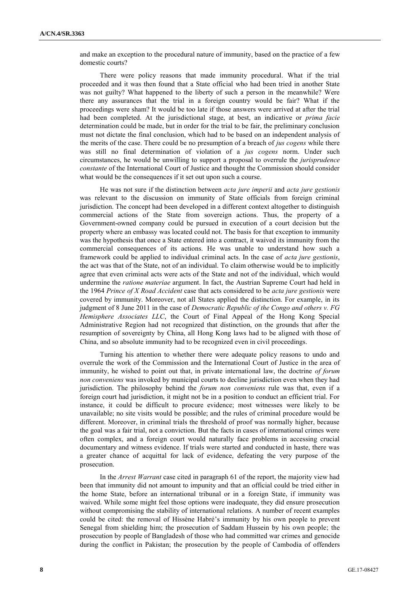and make an exception to the procedural nature of immunity, based on the practice of a few domestic courts?

There were policy reasons that made immunity procedural. What if the trial proceeded and it was then found that a State official who had been tried in another State was not guilty? What happened to the liberty of such a person in the meanwhile? Were there any assurances that the trial in a foreign country would be fair? What if the proceedings were sham? It would be too late if those answers were arrived at after the trial had been completed. At the jurisdictional stage, at best, an indicative or *prima facie* determination could be made, but in order for the trial to be fair, the preliminary conclusion must not dictate the final conclusion, which had to be based on an independent analysis of the merits of the case. There could be no presumption of a breach of *jus cogens* while there was still no final determination of violation of a *jus cogens* norm. Under such circumstances, he would be unwilling to support a proposal to overrule the *jurisprudence constante* of the International Court of Justice and thought the Commission should consider what would be the consequences if it set out upon such a course.

He was not sure if the distinction between *acta jure imperii* and *acta jure gestionis* was relevant to the discussion on immunity of State officials from foreign criminal jurisdiction. The concept had been developed in a different context altogether to distinguish commercial actions of the State from sovereign actions. Thus, the property of a Government-owned company could be pursued in execution of a court decision but the property where an embassy was located could not. The basis for that exception to immunity was the hypothesis that once a State entered into a contract, it waived its immunity from the commercial consequences of its actions. He was unable to understand how such a framework could be applied to individual criminal acts. In the case of *acta jure gestionis*, the act was that of the State, not of an individual. To claim otherwise would be to implicitly agree that even criminal acts were acts of the State and not of the individual, which would undermine the *ratione materiae* argument. In fact, the Austrian Supreme Court had held in the 1964 *Prince of X Road Accident* case that acts considered to be *acta jure gestionis* were covered by immunity. Moreover, not all States applied the distinction. For example, in its judgment of 8 June 2011 in the case of *Democratic Republic of the Congo and others v. FG Hemisphere Associates LLC*, the Court of Final Appeal of the Hong Kong Special Administrative Region had not recognized that distinction, on the grounds that after the resumption of sovereignty by China, all Hong Kong laws had to be aligned with those of China, and so absolute immunity had to be recognized even in civil proceedings.

Turning his attention to whether there were adequate policy reasons to undo and overrule the work of the Commission and the International Court of Justice in the area of immunity, he wished to point out that, in private international law, the doctrine *of forum non conveniens* was invoked by municipal courts to decline jurisdiction even when they had jurisdiction. The philosophy behind the *forum non conveniens* rule was that, even if a foreign court had jurisdiction, it might not be in a position to conduct an efficient trial. For instance, it could be difficult to procure evidence; most witnesses were likely to be unavailable; no site visits would be possible; and the rules of criminal procedure would be different. Moreover, in criminal trials the threshold of proof was normally higher, because the goal was a fair trial, not a conviction. But the facts in cases of international crimes were often complex, and a foreign court would naturally face problems in accessing crucial documentary and witness evidence. If trials were started and conducted in haste, there was a greater chance of acquittal for lack of evidence, defeating the very purpose of the prosecution.

In the *Arrest Warrant* case cited in paragraph 61 of the report, the majority view had been that immunity did not amount to impunity and that an official could be tried either in the home State, before an international tribunal or in a foreign State, if immunity was waived. While some might feel those options were inadequate, they did ensure prosecution without compromising the stability of international relations. A number of recent examples could be cited: the removal of Hissène Habré's immunity by his own people to prevent Senegal from shielding him; the prosecution of Saddam Hussein by his own people; the prosecution by people of Bangladesh of those who had committed war crimes and genocide during the conflict in Pakistan; the prosecution by the people of Cambodia of offenders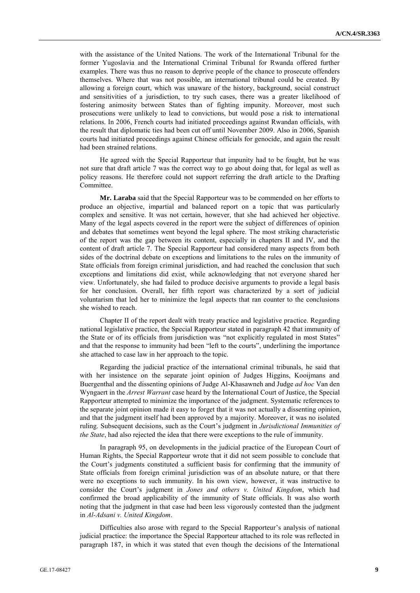with the assistance of the United Nations. The work of the International Tribunal for the former Yugoslavia and the International Criminal Tribunal for Rwanda offered further examples. There was thus no reason to deprive people of the chance to prosecute offenders themselves. Where that was not possible, an international tribunal could be created. By allowing a foreign court, which was unaware of the history, background, social construct and sensitivities of a jurisdiction, to try such cases, there was a greater likelihood of fostering animosity between States than of fighting impunity. Moreover, most such prosecutions were unlikely to lead to convictions, but would pose a risk to international relations. In 2006, French courts had initiated proceedings against Rwandan officials, with the result that diplomatic ties had been cut off until November 2009. Also in 2006, Spanish courts had initiated proceedings against Chinese officials for genocide, and again the result had been strained relations.

He agreed with the Special Rapporteur that impunity had to be fought, but he was not sure that draft article 7 was the correct way to go about doing that, for legal as well as policy reasons. He therefore could not support referring the draft article to the Drafting Committee.

**Mr. Laraba** said that the Special Rapporteur was to be commended on her efforts to produce an objective, impartial and balanced report on a topic that was particularly complex and sensitive. It was not certain, however, that she had achieved her objective. Many of the legal aspects covered in the report were the subject of differences of opinion and debates that sometimes went beyond the legal sphere. The most striking characteristic of the report was the gap between its content, especially in chapters II and IV, and the content of draft article 7. The Special Rapporteur had considered many aspects from both sides of the doctrinal debate on exceptions and limitations to the rules on the immunity of State officials from foreign criminal jurisdiction, and had reached the conclusion that such exceptions and limitations did exist, while acknowledging that not everyone shared her view. Unfortunately, she had failed to produce decisive arguments to provide a legal basis for her conclusion. Overall, her fifth report was characterized by a sort of judicial voluntarism that led her to minimize the legal aspects that ran counter to the conclusions she wished to reach.

Chapter II of the report dealt with treaty practice and legislative practice. Regarding national legislative practice, the Special Rapporteur stated in paragraph 42 that immunity of the State or of its officials from jurisdiction was "not explicitly regulated in most States" and that the response to immunity had been "left to the courts", underlining the importance she attached to case law in her approach to the topic.

Regarding the judicial practice of the international criminal tribunals, he said that with her insistence on the separate joint opinion of Judges Higgins, Kooijmans and Buergenthal and the dissenting opinions of Judge Al-Khasawneh and Judge *ad hoc* Van den Wyngaert in the *Arrest Warrant* case heard by the International Court of Justice, the Special Rapporteur attempted to minimize the importance of the judgment. Systematic references to the separate joint opinion made it easy to forget that it was not actually a dissenting opinion, and that the judgment itself had been approved by a majority. Moreover, it was no isolated ruling. Subsequent decisions, such as the Court's judgment in *Jurisdictional Immunities of the State*, had also rejected the idea that there were exceptions to the rule of immunity.

In paragraph 95, on developments in the judicial practice of the European Court of Human Rights, the Special Rapporteur wrote that it did not seem possible to conclude that the Court's judgments constituted a sufficient basis for confirming that the immunity of State officials from foreign criminal jurisdiction was of an absolute nature, or that there were no exceptions to such immunity. In his own view, however, it was instructive to consider the Court's judgment in *Jones and others v. United Kingdom*, which had confirmed the broad applicability of the immunity of State officials. It was also worth noting that the judgment in that case had been less vigorously contested than the judgment in *Al-Adsani v. United Kingdom*.

Difficulties also arose with regard to the Special Rapporteur's analysis of national judicial practice: the importance the Special Rapporteur attached to its role was reflected in paragraph 187, in which it was stated that even though the decisions of the International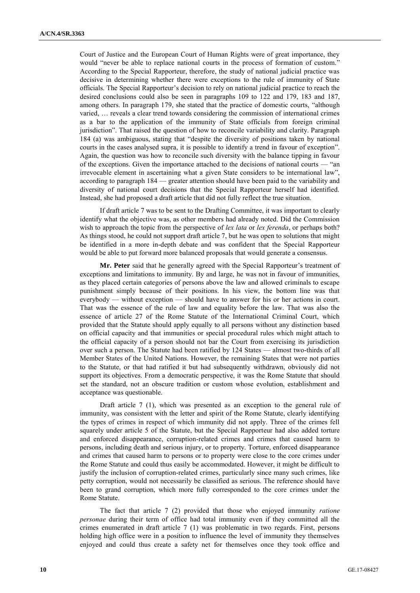Court of Justice and the European Court of Human Rights were of great importance, they would "never be able to replace national courts in the process of formation of custom." According to the Special Rapporteur, therefore, the study of national judicial practice was decisive in determining whether there were exceptions to the rule of immunity of State officials. The Special Rapporteur's decision to rely on national judicial practice to reach the desired conclusions could also be seen in paragraphs 109 to 122 and 179, 183 and 187, among others. In paragraph 179, she stated that the practice of domestic courts, "although varied, … reveals a clear trend towards considering the commission of international crimes as a bar to the application of the immunity of State officials from foreign criminal jurisdiction". That raised the question of how to reconcile variability and clarity. Paragraph 184 (a) was ambiguous, stating that "despite the diversity of positions taken by national courts in the cases analysed supra, it is possible to identify a trend in favour of exception". Again, the question was how to reconcile such diversity with the balance tipping in favour of the exceptions. Given the importance attached to the decisions of national courts — "an irrevocable element in ascertaining what a given State considers to be international law", according to paragraph 184 — greater attention should have been paid to the variability and diversity of national court decisions that the Special Rapporteur herself had identified. Instead, she had proposed a draft article that did not fully reflect the true situation.

If draft article 7 was to be sent to the Drafting Committee, it was important to clearly identify what the objective was, as other members had already noted. Did the Commission wish to approach the topic from the perspective of *lex lata* or *lex ferenda*, or perhaps both? As things stood, he could not support draft article 7, but he was open to solutions that might be identified in a more in-depth debate and was confident that the Special Rapporteur would be able to put forward more balanced proposals that would generate a consensus.

**Mr. Peter** said that he generally agreed with the Special Rapporteur's treatment of exceptions and limitations to immunity. By and large, he was not in favour of immunities, as they placed certain categories of persons above the law and allowed criminals to escape punishment simply because of their positions. In his view, the bottom line was that everybody — without exception — should have to answer for his or her actions in court. That was the essence of the rule of law and equality before the law. That was also the essence of article 27 of the Rome Statute of the International Criminal Court, which provided that the Statute should apply equally to all persons without any distinction based on official capacity and that immunities or special procedural rules which might attach to the official capacity of a person should not bar the Court from exercising its jurisdiction over such a person. The Statute had been ratified by 124 States — almost two-thirds of all Member States of the United Nations. However, the remaining States that were not parties to the Statute, or that had ratified it but had subsequently withdrawn, obviously did not support its objectives. From a democratic perspective, it was the Rome Statute that should set the standard, not an obscure tradition or custom whose evolution, establishment and acceptance was questionable.

Draft article 7 (1), which was presented as an exception to the general rule of immunity, was consistent with the letter and spirit of the Rome Statute, clearly identifying the types of crimes in respect of which immunity did not apply. Three of the crimes fell squarely under article 5 of the Statute, but the Special Rapporteur had also added torture and enforced disappearance, corruption-related crimes and crimes that caused harm to persons, including death and serious injury, or to property. Torture, enforced disappearance and crimes that caused harm to persons or to property were close to the core crimes under the Rome Statute and could thus easily be accommodated. However, it might be difficult to justify the inclusion of corruption-related crimes, particularly since many such crimes, like petty corruption, would not necessarily be classified as serious. The reference should have been to grand corruption, which more fully corresponded to the core crimes under the Rome Statute.

The fact that article 7 (2) provided that those who enjoyed immunity *ratione personae* during their term of office had total immunity even if they committed all the crimes enumerated in draft article 7 (1) was problematic in two regards. First, persons holding high office were in a position to influence the level of immunity they themselves enjoyed and could thus create a safety net for themselves once they took office and